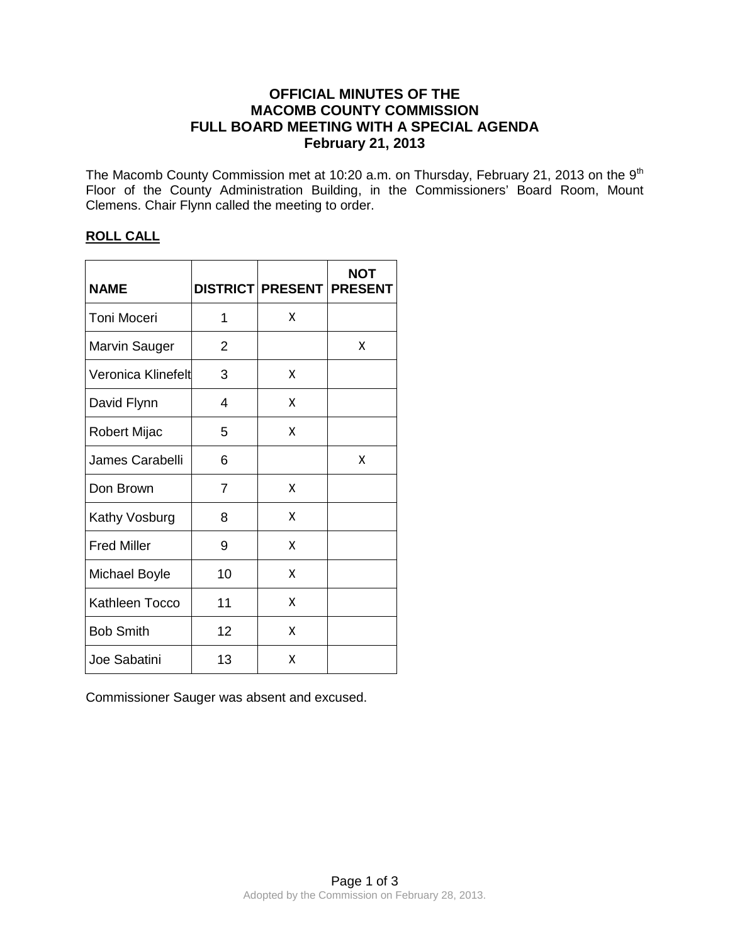# **OFFICIAL MINUTES OF THE MACOMB COUNTY COMMISSION FULL BOARD MEETING WITH A SPECIAL AGENDA February 21, 2013**

The Macomb County Commission met at 10:20 a.m. on Thursday, February 21, 2013 on the 9<sup>th</sup> Floor of the County Administration Building, in the Commissioners' Board Room, Mount Clemens. Chair Flynn called the meeting to order.

# **ROLL CALL**

| <b>NAME</b>         |                | DISTRICT PRESENT PRESENT | <b>NOT</b> |
|---------------------|----------------|--------------------------|------------|
| <b>Toni Moceri</b>  | 1              | x                        |            |
| Marvin Sauger       | $\overline{2}$ |                          | X          |
| Veronica Klinefelt  | 3              | X                        |            |
| David Flynn         | 4              | X                        |            |
| <b>Robert Mijac</b> | 5              | x                        |            |
| James Carabelli     | 6              |                          | x          |
| Don Brown           | $\overline{7}$ | x                        |            |
| Kathy Vosburg       | 8              | x                        |            |
| <b>Fred Miller</b>  | 9              | X                        |            |
| Michael Boyle       | 10             | X                        |            |
| Kathleen Tocco      | 11             | X                        |            |
| <b>Bob Smith</b>    | 12             | X                        |            |
| Joe Sabatini        | 13             | x                        |            |

Commissioner Sauger was absent and excused.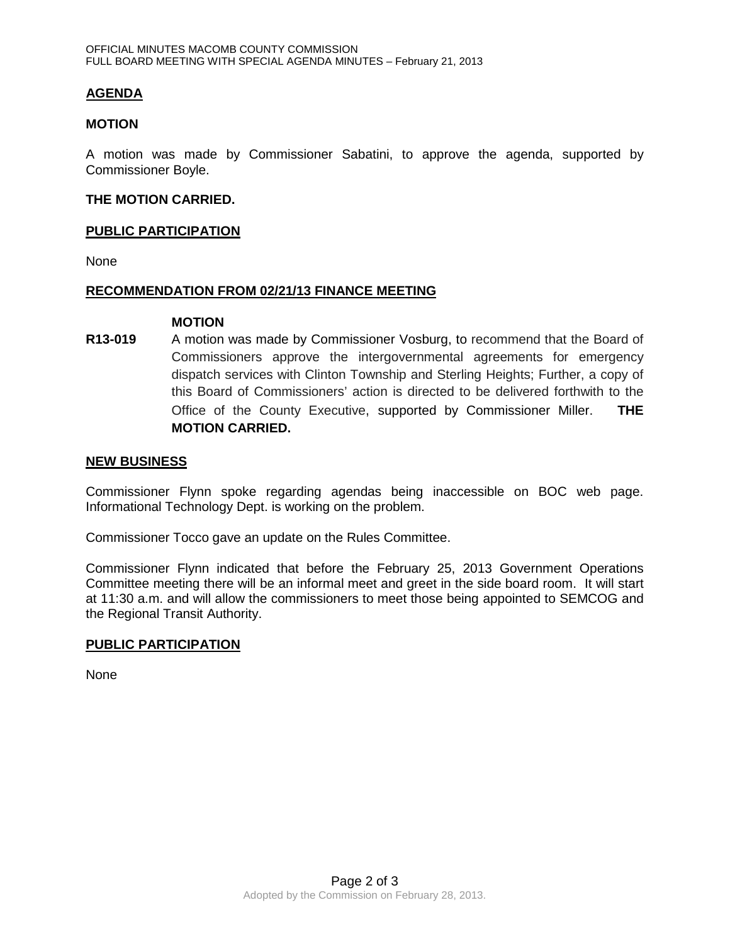## **AGENDA**

### **MOTION**

A motion was made by Commissioner Sabatini, to approve the agenda, supported by Commissioner Boyle.

### **THE MOTION CARRIED.**

### **PUBLIC PARTICIPATION**

None

#### **RECOMMENDATION FROM 02/21/13 FINANCE MEETING**

#### **MOTION**

**R13-019** A motion was made by Commissioner Vosburg, to recommend that the Board of Commissioners approve the intergovernmental agreements for emergency dispatch services with Clinton Township and Sterling Heights; Further, a copy of this Board of Commissioners' action is directed to be delivered forthwith to the Office of the County Executive, supported by Commissioner Miller. **THE MOTION CARRIED.** 

#### **NEW BUSINESS**

Commissioner Flynn spoke regarding agendas being inaccessible on BOC web page. Informational Technology Dept. is working on the problem.

Commissioner Tocco gave an update on the Rules Committee.

Commissioner Flynn indicated that before the February 25, 2013 Government Operations Committee meeting there will be an informal meet and greet in the side board room. It will start at 11:30 a.m. and will allow the commissioners to meet those being appointed to SEMCOG and the Regional Transit Authority.

### **PUBLIC PARTICIPATION**

None